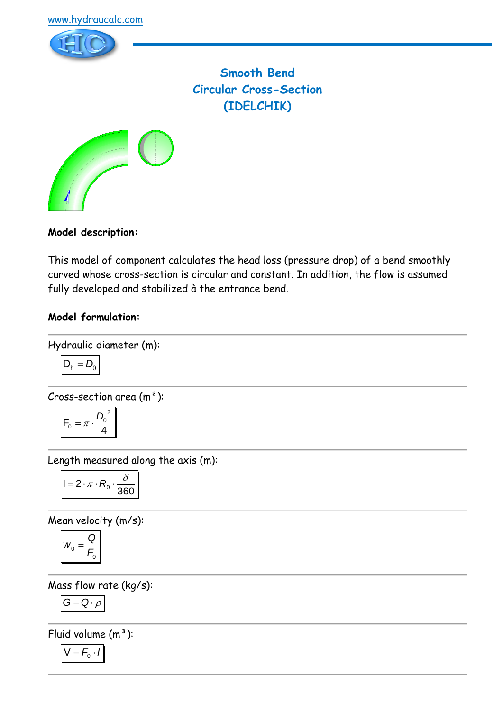



**Smooth Bend Circular Cross-Section (IDELCHIK)**



## **Model description:**

This model of component calculates the head loss (pressure drop) of a bend smoothly curved whose cross-section is circular and constant. In addition, the flow is assumed fully developed and stabilized à the entrance bend.

## **Model formulation:**

Hydraulic diameter (m):

$$
\overline{D_h} = D_0
$$

Cross-section area 
$$
(m^2)
$$
:

$$
F_0=\pi\cdot\frac{D_0^{\ 2}}{4}
$$

Length measured along the axis (m):

$$
I = 2 \cdot \pi \cdot R_0 \cdot \frac{\delta}{360}
$$

Mean velocity (m/s):

$$
w_0 = \frac{Q}{F_0}
$$

Mass flow rate (kg/s):

$$
G=Q\cdot \rho
$$

Fluid volume  $(m^3)$ :

$$
V = F_0 \cdot I
$$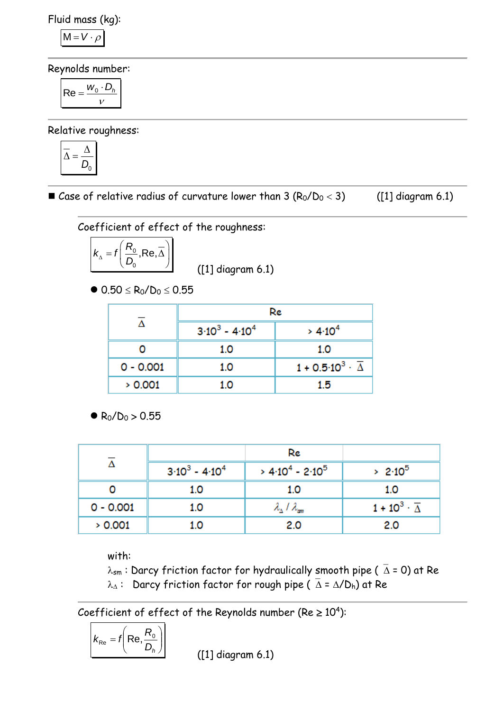Fluid mass (kg):

$$
M = V \cdot \rho
$$

Reynolds number:

$$
\mathsf{Re} = \frac{w_0 \cdot D_h}{v}
$$

Relative roughness:

$$
\overline{\Delta} = \frac{\Delta}{D_0}
$$

Gase of relative radius of curvature lower than  $3 (R_0/D_0 < 3)$  ([1] diagram 6.1)

Coefficient of effect of the roughness:

$$
K_{\Delta} = f\left(\frac{R_0}{D_0}, \text{Re}, \overline{\Delta}\right)
$$

([1] diagram 6.1)

 $\bullet$  0.50  $\leq$  R<sub>0</sub>/D<sub>0</sub>  $\leq$  0.55

|             | Re                |                                              |  |
|-------------|-------------------|----------------------------------------------|--|
|             | $3.10^3 - 4.10^4$ | > 4.10 <sup>4</sup>                          |  |
|             | 1.0               | 1.0                                          |  |
| $0 - 0.001$ | 1.0               | $1 + 0.5 \cdot 10^3 \cdot \overline{\Delta}$ |  |
| > 0.001     | 1.0               | 1.5                                          |  |

 $R_0/D_0 > 0.55$ 

|             |                               | Re                                      |                                    |
|-------------|-------------------------------|-----------------------------------------|------------------------------------|
|             | $3 \cdot 10^3 - 4 \cdot 10^4$ | $> 4.10^4 - 2.10^5$                     | $> 2.10^5$                         |
|             | 1.0                           | 1.0                                     | 1.0                                |
| $0 - 0.001$ | 1.0                           | $\lambda_{\Delta}$ / $\lambda_{\rm sm}$ | $1 + 10^3 \cdot \overline{\Delta}$ |
| > 0.001     | 1.0                           | 2.0                                     | 2.0                                |

with:

 $\lambda_{sm}$ : Darcy friction factor for hydraulically smooth pipe ( $\overline{\Delta}$  = 0) at Re  $\lambda_{\Delta}$ : Darcy friction factor for rough pipe ( $\overline{\Delta} = \Delta/D_h$ ) at Re

Coefficient of effect of the Reynolds number (Re  $\geq 10^4$ ):

$$
k_{\text{Re}} = f\left(\text{Re}, \frac{R_{\text{o}}}{D_{h}}\right)
$$

([1] diagram 6.1)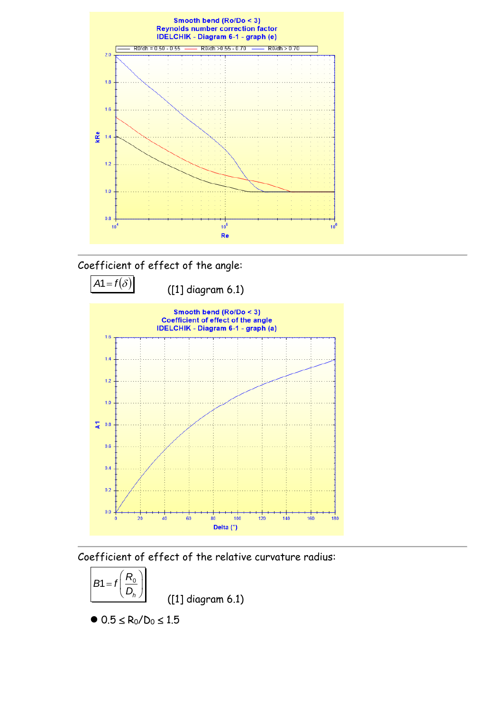





Coefficient of effect of the relative curvature radius:



 $0.5 \le R_0/D_0 \le 1.5$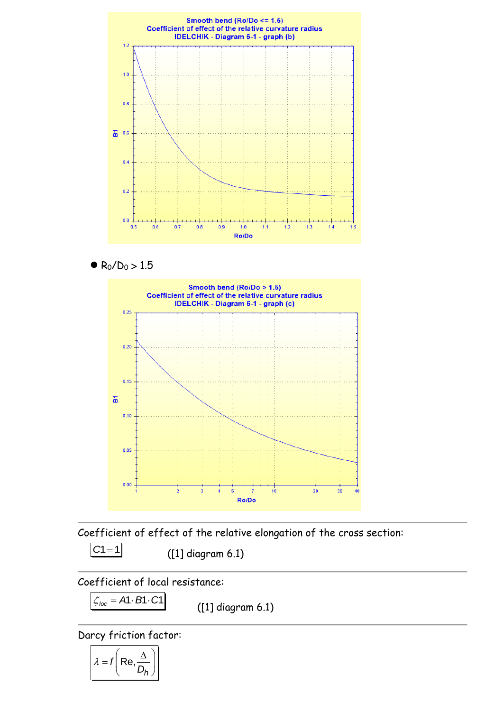





Coefficient of effect of the relative elongation of the cross section:

$$
CI = 1
$$

([1] diagram 6.1)

Coefficient of local resistance:

 $\zeta_{loc} = A1 \cdot B1 \cdot C1$ 

([1] diagram 6.1)

Darcy friction factor:

$$
\lambda = f\left(\text{Re}, \frac{\Delta}{D_h}\right)
$$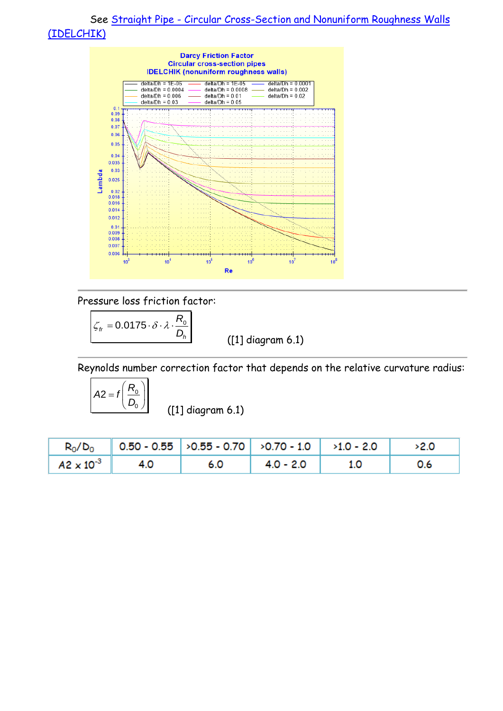

Pressure loss friction factor:

 $\zeta_{tr} = 0.0175 \cdot \delta \cdot \lambda \cdot \frac{R_0}{R}$ *h D*

([1] diagram 6.1)

Reynolds number correction factor that depends on the relative curvature radius:

 $(R_{0}$  $= f\left(\frac{R_0}{D_0}\right)$  $A2 = t$ 

([1] diagram 6.1)

|                                      | $R_0/D_0$ 0.50 - 0.55 $>0.55$ - 0.70 $>0.70$ - 1.0 $>1.0$ - 2.0 $>2.0$ |                                   |     |
|--------------------------------------|------------------------------------------------------------------------|-----------------------------------|-----|
| $ $ A2 $\times$ 10 <sup>-3</sup> 4.0 |                                                                        | 6.0 $\vert$ 4.0 - 2.0 $\vert$ 1.0 | 0.6 |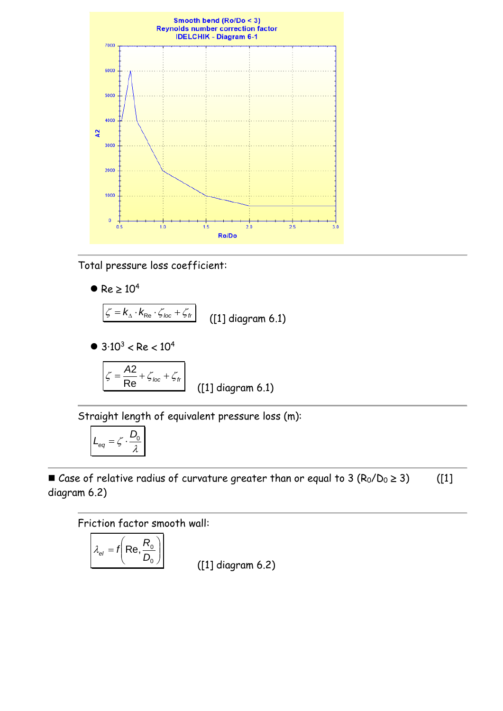

Total pressure loss coefficient:

 $\bullet$  Re  $\geq 10^4$ 

$$
\boxed{\zeta = k_{\text{A}} \cdot k_{\text{Re}} \cdot \zeta_{\text{loc}} + \zeta_{\text{fr}}}
$$
 (11 diagram 6.1)

 $\bullet$  3.10<sup>3</sup> < Re < 10<sup>4</sup>

$$
\zeta = \frac{A2}{\text{Re}} + \zeta_{\text{loc}} + \zeta_{\text{fr}}
$$
 (11 diagram 6.1)

Straight length of equivalent pressure loss (m):

$$
L_{eq} = \zeta \cdot \frac{D_0}{\lambda}
$$

Gase of relative radius of curvature greater than or equal to 3  $(R_0/D_0 \ge 3)$  ([1] diagram 6.2)

Friction factor smooth wall:

$$
\lambda_{el} = f\left(\text{Re}, \frac{R_0}{D_0}\right)
$$
 [1] dia

(1) agram 6.2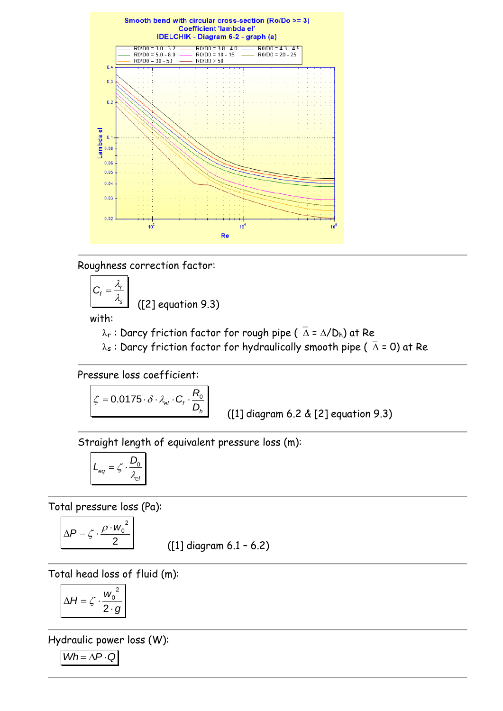

Roughness correction factor:

$$
C_f = \frac{\lambda_r}{\lambda_s}
$$
 ([2] equation 9.3)

with:

 $\lambda_r$ : Darcy friction factor for rough pipe ( $\bar{\Delta} = \Delta/D_h$ ) at Re

 $\lambda_s$ : Darcy friction factor for hydraulically smooth pipe ( $\bar{\Delta}$  = 0) at Re

Pressure loss coefficient:

$$
\boxed{\zeta = 0.0175 \cdot \delta \cdot \lambda_{el} \cdot C_f \cdot \frac{R_0}{D_h}}
$$

([1] diagram 6.2 & [2] equation 9.3)

Straight length of equivalent pressure loss (m):

$$
L_{eq} = \zeta \cdot \frac{D_0}{\lambda_{el}}
$$

Total pressure loss (Pa):

$$
\Delta P = \zeta \cdot \frac{\rho \cdot W_0^2}{2}
$$

([1] diagram 6.1 – 6.2)

Total head loss of fluid (m):

$$
\Delta H = \zeta \cdot \frac{w_0^2}{2 \cdot g}
$$

Hydraulic power loss (W):  $Wh = \Delta P \cdot Q$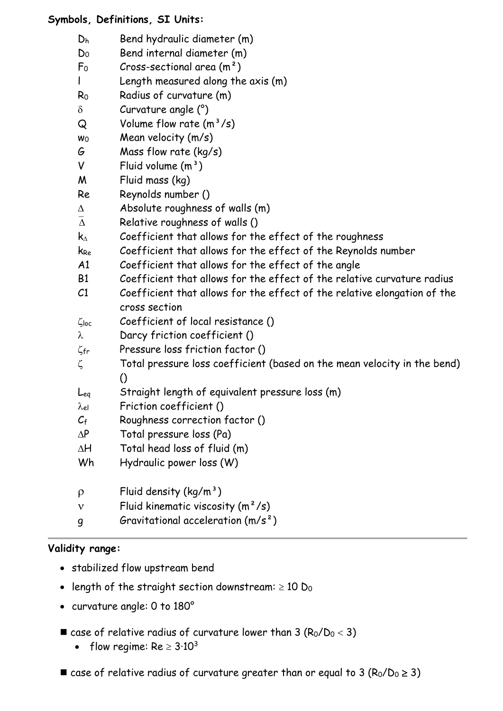# **Symbols, Definitions, SI Units:**

| Dh                   | Bend hydraulic diameter (m)                                                               |
|----------------------|-------------------------------------------------------------------------------------------|
| D <sub>0</sub>       | Bend internal diameter (m)                                                                |
| F <sub>o</sub>       | Cross-sectional area $(m2)$                                                               |
|                      | Length measured along the axis (m)                                                        |
| $R_0$                | Radius of curvature (m)                                                                   |
| $\delta$             | Curvature angle (°)                                                                       |
| Q                    | Volume flow rate $(m^3/s)$                                                                |
| Wo                   | Mean velocity (m/s)                                                                       |
| G                    | Mass flow rate (kg/s)                                                                     |
| V                    | Fluid volume $(m^3)$                                                                      |
| M                    | Fluid mass (kg)                                                                           |
| Re                   | Reynolds number ()                                                                        |
| Δ                    | Absolute roughness of walls (m)                                                           |
| $\overline{\Lambda}$ | Relative roughness of walls ()                                                            |
| $\mathsf{k}_\Delta$  | Coefficient that allows for the effect of the roughness                                   |
| k <sub>Re</sub>      | Coefficient that allows for the effect of the Reynolds number                             |
| A1                   | Coefficient that allows for the effect of the angle                                       |
| B <sub>1</sub>       | Coefficient that allows for the effect of the relative curvature radius                   |
| C1                   | Coefficient that allows for the effect of the relative elongation of the<br>cross section |
| $\zeta$ loc          | Coefficient of local resistance ()                                                        |
| λ                    | Darcy friction coefficient ()                                                             |
| $\zeta$ fr           | Pressure loss friction factor ()                                                          |
| ζ                    | Total pressure loss coefficient (based on the mean velocity in the bend)                  |
|                      | $\left( \right)$                                                                          |
| Leg                  | Straight length of equivalent pressure loss (m)                                           |
| λel                  | Friction coefficient ()                                                                   |
| $C_{\mathrm{f}}$     | Roughness correction factor ()                                                            |
| $\Delta P$           | Total pressure loss (Pa)                                                                  |
| $\Delta H$           | Total head loss of fluid (m)                                                              |
| Wh                   | Hydraulic power loss (W)                                                                  |
| $\rho$               | Fluid density $(kq/m^3)$                                                                  |
| $\mathbf v$          | Fluid kinematic viscosity $(m^2/s)$                                                       |

g Gravitational acceleration (m/s²)

## **Validity range:**

- stabilized flow upstream bend
- length of the straight section downstream:  $\geq 10$  D<sub>0</sub>
- curvature angle: 0 to 180°
- **E** case of relative radius of curvature lower than  $3 (R_0/D_0 < 3)$ 
	- flow regime:  $Re \geq 3.10^3$
- **E** case of relative radius of curvature greater than or equal to 3 ( $R_0/D_0 \ge 3$ )